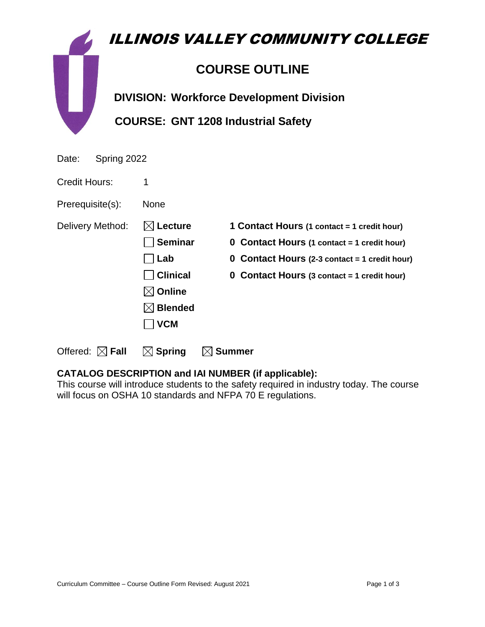|       | ILLINOIS VALLEY COMMUNITY COLLEGE               |
|-------|-------------------------------------------------|
|       | <b>COURSE OUTLINE</b>                           |
|       | <b>DIVISION: Workforce Development Division</b> |
|       | <b>COURSE: GNT 1208 Industrial Safety</b>       |
| Date: | Spring 2022                                     |

Credit Hours: 1

Prerequisite(s): None

**Online** 

**Blended**

 **VCM**

Delivery Method: **Lecture 1 Contact Hours (1 contact = 1 credit hour)**

**Seminar 0 Contact Hours (1 contact = 1 credit hour)**

**Lab 0 Contact Hours (2-3 contact = 1 credit hour)**

**Clinical 0 Contact Hours (3 contact = 1 credit hour)**

Offered:  $\boxtimes$  **Fall**  $\boxtimes$  **Spring**  $\boxtimes$  **Summer** 

# **CATALOG DESCRIPTION and IAI NUMBER (if applicable):**

This course will introduce students to the safety required in industry today. The course will focus on OSHA 10 standards and NFPA 70 E regulations.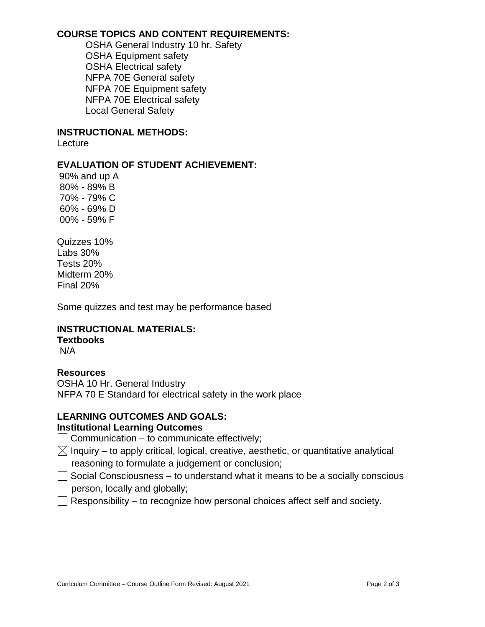# **COURSE TOPICS AND CONTENT REQUIREMENTS:**

OSHA General Industry 10 hr. Safety OSHA Equipment safety OSHA Electrical safety NFPA 70E General safety NFPA 70E Equipment safety NFPA 70E Electrical safety Local General Safety

#### **INSTRUCTIONAL METHODS:**

**Lecture** 

# **EVALUATION OF STUDENT ACHIEVEMENT:**

90% and up A 80% - 89% B 70% - 79% C 60% - 69% D 00% - 59% F

Quizzes 10% Labs 30% Tests 20% Midterm 20% Final 20%

Some quizzes and test may be performance based

# **INSTRUCTIONAL MATERIALS:**

**Textbooks**

N/A

#### **Resources**

OSHA 10 Hr. General Industry NFPA 70 E Standard for electrical safety in the work place

# **LEARNING OUTCOMES AND GOALS:**

# **Institutional Learning Outcomes**

 $\Box$  Communication – to communicate effectively;

- $\boxtimes$  Inquiry to apply critical, logical, creative, aesthetic, or quantitative analytical reasoning to formulate a judgement or conclusion;
- $\Box$  Social Consciousness to understand what it means to be a socially conscious person, locally and globally;
- $\Box$  Responsibility to recognize how personal choices affect self and society.